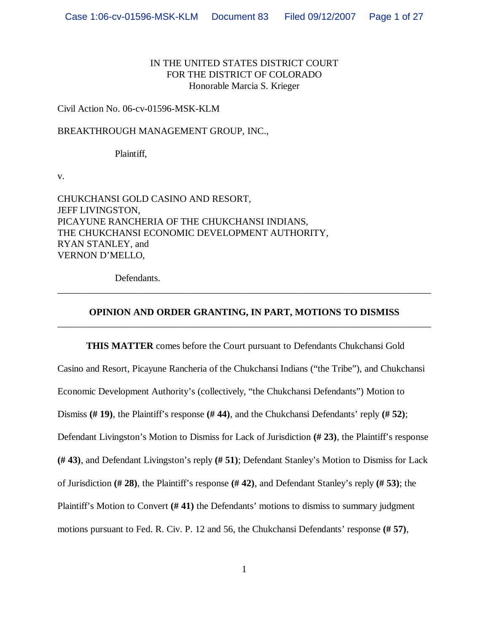# IN THE UNITED STATES DISTRICT COURT FOR THE DISTRICT OF COLORADO Honorable Marcia S. Krieger

## Civil Action No. 06-cv-01596-MSK-KLM

BREAKTHROUGH MANAGEMENT GROUP, INC.,

Plaintiff,

v.

CHUKCHANSI GOLD CASINO AND RESORT, JEFF LIVINGSTON, PICAYUNE RANCHERIA OF THE CHUKCHANSI INDIANS, THE CHUKCHANSI ECONOMIC DEVELOPMENT AUTHORITY, RYAN STANLEY, and VERNON D'MELLO,

Defendants.

# **OPINION AND ORDER GRANTING, IN PART, MOTIONS TO DISMISS** \_\_\_\_\_\_\_\_\_\_\_\_\_\_\_\_\_\_\_\_\_\_\_\_\_\_\_\_\_\_\_\_\_\_\_\_\_\_\_\_\_\_\_\_\_\_\_\_\_\_\_\_\_\_\_\_\_\_\_\_\_\_\_\_\_\_\_\_\_\_\_\_\_\_\_\_\_\_

\_\_\_\_\_\_\_\_\_\_\_\_\_\_\_\_\_\_\_\_\_\_\_\_\_\_\_\_\_\_\_\_\_\_\_\_\_\_\_\_\_\_\_\_\_\_\_\_\_\_\_\_\_\_\_\_\_\_\_\_\_\_\_\_\_\_\_\_\_\_\_\_\_\_\_\_\_\_

**THIS MATTER** comes before the Court pursuant to Defendants Chukchansi Gold Casino and Resort, Picayune Rancheria of the Chukchansi Indians ("the Tribe"), and Chukchansi Economic Development Authority's (collectively, "the Chukchansi Defendants") Motion to Dismiss **(# 19)**, the Plaintiff's response **(# 44)**, and the Chukchansi Defendants' reply **(# 52)**; Defendant Livingston's Motion to Dismiss for Lack of Jurisdiction **(# 23)**, the Plaintiff's response **(# 43)**, and Defendant Livingston's reply **(# 51)**; Defendant Stanley's Motion to Dismiss for Lack of Jurisdiction **(# 28)**, the Plaintiff's response **(# 42)**, and Defendant Stanley's reply **(# 53)**; the Plaintiff's Motion to Convert **(# 41)** the Defendants' motions to dismiss to summary judgment motions pursuant to Fed. R. Civ. P. 12 and 56, the Chukchansi Defendants' response **(# 57)**,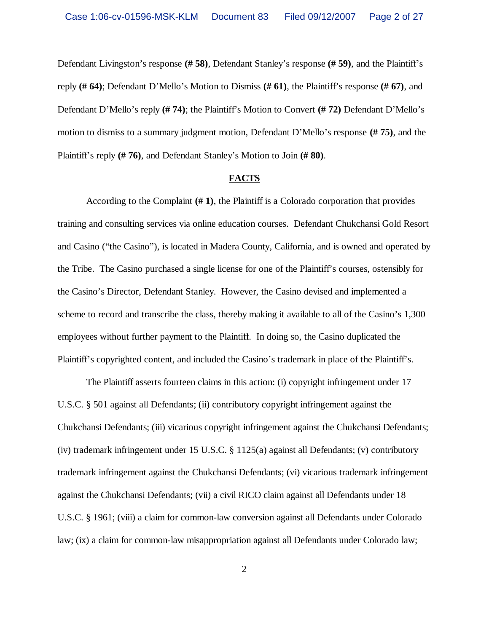Defendant Livingston's response **(# 58)**, Defendant Stanley's response **(# 59)**, and the Plaintiff's reply **(# 64)**; Defendant D'Mello's Motion to Dismiss **(# 61)**, the Plaintiff's response **(# 67)**, and Defendant D'Mello's reply **(# 74)**; the Plaintiff's Motion to Convert **(# 72)** Defendant D'Mello's motion to dismiss to a summary judgment motion, Defendant D'Mello's response **(# 75)**, and the Plaintiff's reply **(# 76)**, and Defendant Stanley's Motion to Join **(# 80)**.

#### **FACTS**

According to the Complaint **(# 1)**, the Plaintiff is a Colorado corporation that provides training and consulting services via online education courses. Defendant Chukchansi Gold Resort and Casino ("the Casino"), is located in Madera County, California, and is owned and operated by the Tribe. The Casino purchased a single license for one of the Plaintiff's courses, ostensibly for the Casino's Director, Defendant Stanley. However, the Casino devised and implemented a scheme to record and transcribe the class, thereby making it available to all of the Casino's 1,300 employees without further payment to the Plaintiff. In doing so, the Casino duplicated the Plaintiff's copyrighted content, and included the Casino's trademark in place of the Plaintiff's.

The Plaintiff asserts fourteen claims in this action: (i) copyright infringement under 17 U.S.C. § 501 against all Defendants; (ii) contributory copyright infringement against the Chukchansi Defendants; (iii) vicarious copyright infringement against the Chukchansi Defendants; (iv) trademark infringement under 15 U.S.C. § 1125(a) against all Defendants; (v) contributory trademark infringement against the Chukchansi Defendants; (vi) vicarious trademark infringement against the Chukchansi Defendants; (vii) a civil RICO claim against all Defendants under 18 U.S.C. § 1961; (viii) a claim for common-law conversion against all Defendants under Colorado law; (ix) a claim for common-law misappropriation against all Defendants under Colorado law;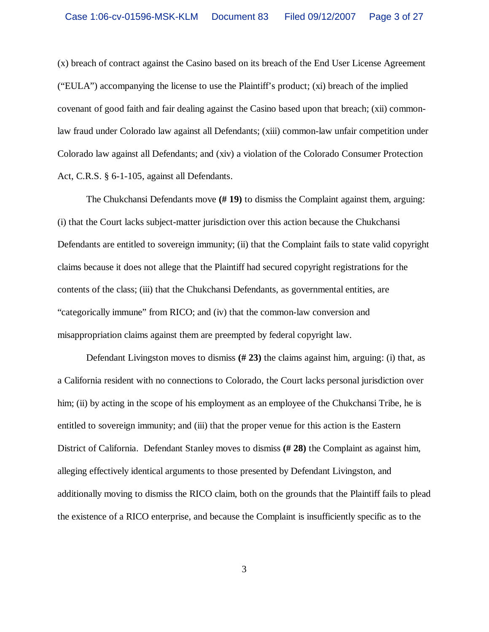(x) breach of contract against the Casino based on its breach of the End User License Agreement ("EULA") accompanying the license to use the Plaintiff's product; (xi) breach of the implied covenant of good faith and fair dealing against the Casino based upon that breach; (xii) commonlaw fraud under Colorado law against all Defendants; (xiii) common-law unfair competition under Colorado law against all Defendants; and (xiv) a violation of the Colorado Consumer Protection Act, C.R.S. § 6-1-105, against all Defendants.

The Chukchansi Defendants move **(# 19)** to dismiss the Complaint against them, arguing: (i) that the Court lacks subject-matter jurisdiction over this action because the Chukchansi Defendants are entitled to sovereign immunity; (ii) that the Complaint fails to state valid copyright claims because it does not allege that the Plaintiff had secured copyright registrations for the contents of the class; (iii) that the Chukchansi Defendants, as governmental entities, are "categorically immune" from RICO; and (iv) that the common-law conversion and misappropriation claims against them are preempted by federal copyright law.

Defendant Livingston moves to dismiss **(# 23)** the claims against him, arguing: (i) that, as a California resident with no connections to Colorado, the Court lacks personal jurisdiction over him; (ii) by acting in the scope of his employment as an employee of the Chukchansi Tribe, he is entitled to sovereign immunity; and (iii) that the proper venue for this action is the Eastern District of California. Defendant Stanley moves to dismiss **(# 28)** the Complaint as against him, alleging effectively identical arguments to those presented by Defendant Livingston, and additionally moving to dismiss the RICO claim, both on the grounds that the Plaintiff fails to plead the existence of a RICO enterprise, and because the Complaint is insufficiently specific as to the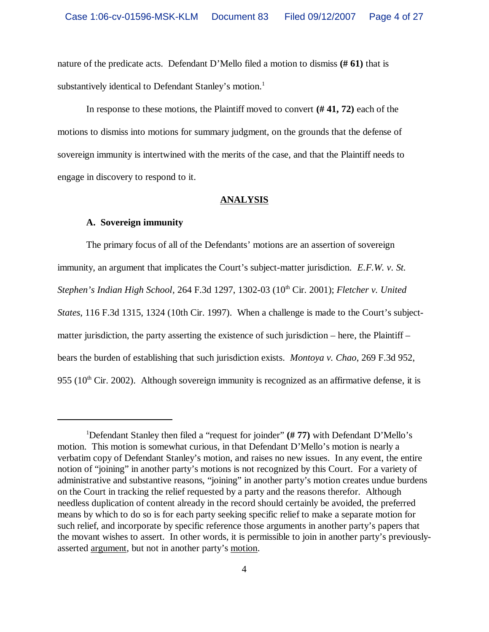nature of the predicate acts. Defendant D'Mello filed a motion to dismiss **(# 61)** that is substantively identical to Defendant Stanley's motion.<sup>1</sup>

In response to these motions, the Plaintiff moved to convert **(# 41, 72)** each of the motions to dismiss into motions for summary judgment, on the grounds that the defense of sovereign immunity is intertwined with the merits of the case, and that the Plaintiff needs to engage in discovery to respond to it.

### **ANALYSIS**

### **A. Sovereign immunity**

The primary focus of all of the Defendants' motions are an assertion of sovereign immunity, an argument that implicates the Court's subject-matter jurisdiction. *E.F.W. v. St. Stephen's Indian High School,* 264 F.3d 1297, 1302-03 (10<sup>th</sup> Cir. 2001); *Fletcher v. United States*, 116 F.3d 1315, 1324 (10th Cir. 1997). When a challenge is made to the Court's subjectmatter jurisdiction, the party asserting the existence of such jurisdiction – here, the Plaintiff – bears the burden of establishing that such jurisdiction exists. *Montoya v. Chao*, 269 F.3d 952, 955 ( $10<sup>th</sup>$  Cir. 2002). Although sovereign immunity is recognized as an affirmative defense, it is

<sup>1</sup>Defendant Stanley then filed a "request for joinder" **(# 77)** with Defendant D'Mello's motion. This motion is somewhat curious, in that Defendant D'Mello's motion is nearly a verbatim copy of Defendant Stanley's motion, and raises no new issues. In any event, the entire notion of "joining" in another party's motions is not recognized by this Court. For a variety of administrative and substantive reasons, "joining" in another party's motion creates undue burdens on the Court in tracking the relief requested by a party and the reasons therefor. Although needless duplication of content already in the record should certainly be avoided, the preferred means by which to do so is for each party seeking specific relief to make a separate motion for such relief, and incorporate by specific reference those arguments in another party's papers that the movant wishes to assert. In other words, it is permissible to join in another party's previouslyasserted argument, but not in another party's motion.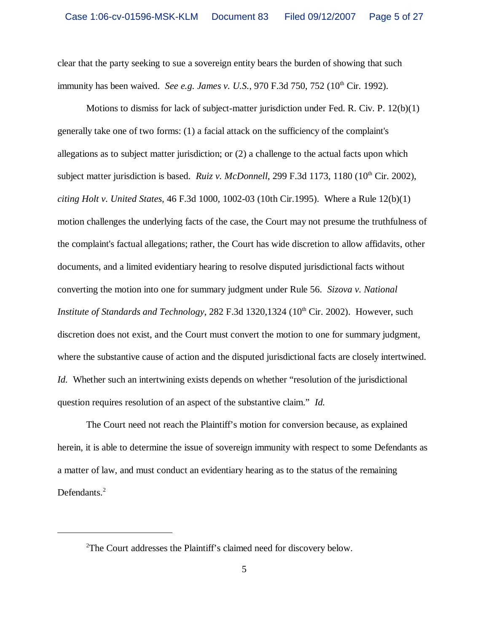clear that the party seeking to sue a sovereign entity bears the burden of showing that such immunity has been waived. *See e.g. James v. U.S.*, 970 F.3d 750, 752 (10<sup>th</sup> Cir. 1992).

Motions to dismiss for lack of subject-matter jurisdiction under Fed. R. Civ. P. 12(b)(1) generally take one of two forms: (1) a facial attack on the sufficiency of the complaint's allegations as to subject matter jurisdiction; or (2) a challenge to the actual facts upon which subject matter jurisdiction is based. *Ruiz v. McDonnell*, 299 F.3d 1173, 1180 (10<sup>th</sup> Cir. 2002). *citing Holt v. United States,* 46 F.3d 1000, 1002-03 (10th Cir.1995). Where a Rule 12(b)(1) motion challenges the underlying facts of the case, the Court may not presume the truthfulness of the complaint's factual allegations; rather, the Court has wide discretion to allow affidavits, other documents, and a limited evidentiary hearing to resolve disputed jurisdictional facts without converting the motion into one for summary judgment under Rule 56. *Sizova v. National Institute of Standards and Technology*, 282 F.3d 1320,1324 (10<sup>th</sup> Cir. 2002). However, such discretion does not exist, and the Court must convert the motion to one for summary judgment, where the substantive cause of action and the disputed jurisdictional facts are closely intertwined. *Id.* Whether such an intertwining exists depends on whether "resolution of the jurisdictional question requires resolution of an aspect of the substantive claim." *Id.*

The Court need not reach the Plaintiff's motion for conversion because, as explained herein, it is able to determine the issue of sovereign immunity with respect to some Defendants as a matter of law, and must conduct an evidentiary hearing as to the status of the remaining Defendants.<sup>2</sup>

<sup>2</sup>The Court addresses the Plaintiff's claimed need for discovery below.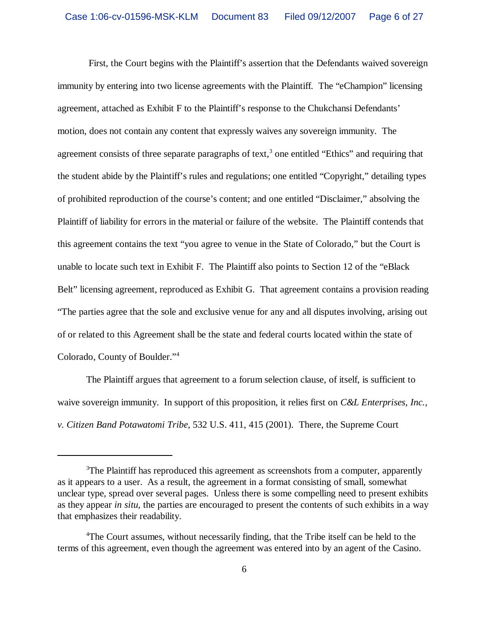First, the Court begins with the Plaintiff's assertion that the Defendants waived sovereign immunity by entering into two license agreements with the Plaintiff. The "eChampion" licensing agreement, attached as Exhibit F to the Plaintiff's response to the Chukchansi Defendants' motion, does not contain any content that expressly waives any sovereign immunity. The agreement consists of three separate paragraphs of text,<sup>3</sup> one entitled "Ethics" and requiring that the student abide by the Plaintiff's rules and regulations; one entitled "Copyright," detailing types of prohibited reproduction of the course's content; and one entitled "Disclaimer," absolving the Plaintiff of liability for errors in the material or failure of the website. The Plaintiff contends that this agreement contains the text "you agree to venue in the State of Colorado," but the Court is unable to locate such text in Exhibit F. The Plaintiff also points to Section 12 of the "eBlack Belt" licensing agreement, reproduced as Exhibit G. That agreement contains a provision reading "The parties agree that the sole and exclusive venue for any and all disputes involving, arising out of or related to this Agreement shall be the state and federal courts located within the state of Colorado, County of Boulder."<sup>4</sup>

The Plaintiff argues that agreement to a forum selection clause, of itself, is sufficient to waive sovereign immunity. In support of this proposition, it relies first on *C&L Enterprises, Inc., v. Citizen Band Potawatomi Tribe*, 532 U.S. 411, 415 (2001). There, the Supreme Court

 $3$ The Plaintiff has reproduced this agreement as screenshots from a computer, apparently as it appears to a user. As a result, the agreement in a format consisting of small, somewhat unclear type, spread over several pages. Unless there is some compelling need to present exhibits as they appear *in situ*, the parties are encouraged to present the contents of such exhibits in a way that emphasizes their readability.

<sup>4</sup>The Court assumes, without necessarily finding, that the Tribe itself can be held to the terms of this agreement, even though the agreement was entered into by an agent of the Casino.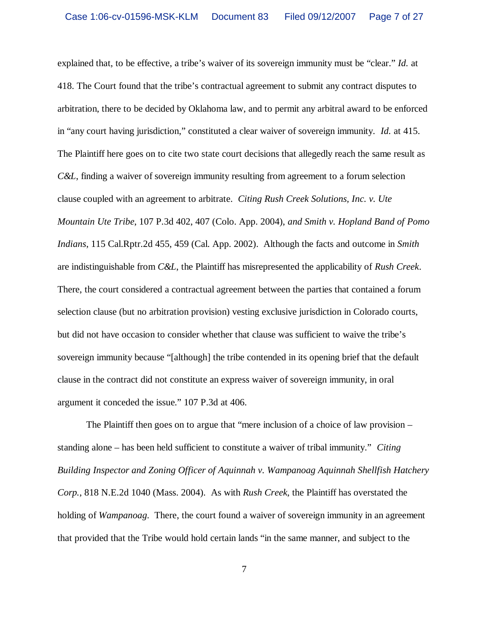explained that, to be effective, a tribe's waiver of its sovereign immunity must be "clear." *Id.* at 418. The Court found that the tribe's contractual agreement to submit any contract disputes to arbitration, there to be decided by Oklahoma law, and to permit any arbitral award to be enforced in "any court having jurisdiction," constituted a clear waiver of sovereign immunity. *Id.* at 415. The Plaintiff here goes on to cite two state court decisions that allegedly reach the same result as *C&L*, finding a waiver of sovereign immunity resulting from agreement to a forum selection clause coupled with an agreement to arbitrate. *Citing Rush Creek Solutions, Inc. v. Ute Mountain Ute Tribe*, 107 P.3d 402, 407 (Colo. App. 2004), *and Smith v. Hopland Band of Pomo Indians*, 115 Cal.Rptr.2d 455, 459 (Cal. App. 2002). Although the facts and outcome in *Smith* are indistinguishable from *C&L*, the Plaintiff has misrepresented the applicability of *Rush Creek*. There, the court considered a contractual agreement between the parties that contained a forum selection clause (but no arbitration provision) vesting exclusive jurisdiction in Colorado courts, but did not have occasion to consider whether that clause was sufficient to waive the tribe's sovereign immunity because "[although] the tribe contended in its opening brief that the default clause in the contract did not constitute an express waiver of sovereign immunity, in oral argument it conceded the issue." 107 P.3d at 406.

The Plaintiff then goes on to argue that "mere inclusion of a choice of law provision – standing alone – has been held sufficient to constitute a waiver of tribal immunity." *Citing Building Inspector and Zoning Officer of Aquinnah v. Wampanoag Aquinnah Shellfish Hatchery Corp.*, 818 N.E.2d 1040 (Mass. 2004). As with *Rush Creek*, the Plaintiff has overstated the holding of *Wampanoag*. There, the court found a waiver of sovereign immunity in an agreement that provided that the Tribe would hold certain lands "in the same manner, and subject to the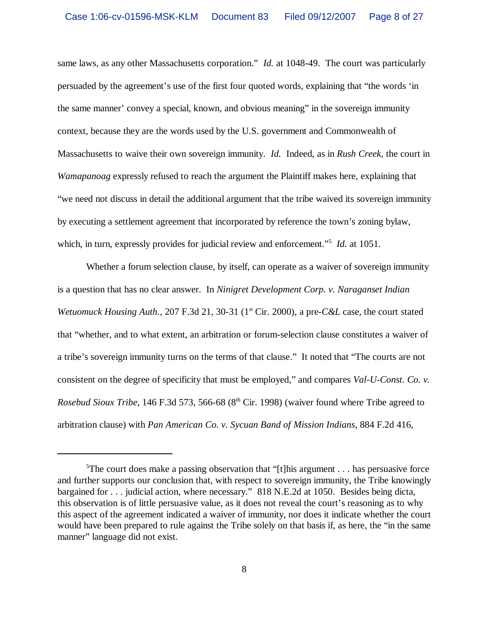same laws, as any other Massachusetts corporation." *Id.* at 1048-49. The court was particularly persuaded by the agreement's use of the first four quoted words, explaining that "the words 'in the same manner' convey a special, known, and obvious meaning" in the sovereign immunity context, because they are the words used by the U.S. government and Commonwealth of Massachusetts to waive their own sovereign immunity. *Id.* Indeed, as in *Rush Creek*, the court in *Wamapanoag* expressly refused to reach the argument the Plaintiff makes here, explaining that "we need not discuss in detail the additional argument that the tribe waived its sovereign immunity by executing a settlement agreement that incorporated by reference the town's zoning bylaw, which, in turn, expressly provides for judicial review and enforcement."<sup>5</sup> *Id.* at 1051.

Whether a forum selection clause, by itself, can operate as a waiver of sovereign immunity is a question that has no clear answer. In *Ninigret Development Corp. v. Naraganset Indian Wetuomuck Housing Auth.*, 207 F.3d 21, 30-31 (1<sup>st</sup> Cir. 2000), a pre-*C&L* case, the court stated that "whether, and to what extent, an arbitration or forum-selection clause constitutes a waiver of a tribe's sovereign immunity turns on the terms of that clause." It noted that "The courts are not consistent on the degree of specificity that must be employed," and compares *Val-U-Const. Co. v. Rosebud Sioux Tribe*, 146 F.3d 573, 566-68 (8<sup>th</sup> Cir. 1998) (waiver found where Tribe agreed to arbitration clause) with *Pan American Co. v. Sycuan Band of Mission Indians*, 884 F.2d 416,

<sup>&</sup>lt;sup>5</sup>The court does make a passing observation that "[t]his argument  $\dots$  has persuasive force and further supports our conclusion that, with respect to sovereign immunity, the Tribe knowingly bargained for . . . judicial action, where necessary." 818 N.E.2d at 1050. Besides being dicta, this observation is of little persuasive value, as it does not reveal the court's reasoning as to why this aspect of the agreement indicated a waiver of immunity, nor does it indicate whether the court would have been prepared to rule against the Tribe solely on that basis if, as here, the "in the same manner" language did not exist.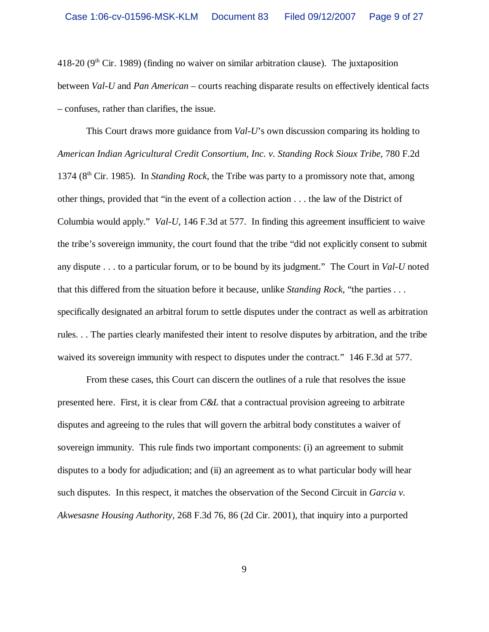418-20 ( $9<sup>th</sup>$  Cir. 1989) (finding no waiver on similar arbitration clause). The juxtaposition between *Val-U* and *Pan American* – courts reaching disparate results on effectively identical facts – confuses, rather than clarifies, the issue.

This Court draws more guidance from *Val-U*'s own discussion comparing its holding to *American Indian Agricultural Credit Consortium, Inc. v. Standing Rock Sioux Tribe*, 780 F.2d 1374 (8th Cir. 1985). In *Standing Rock*, the Tribe was party to a promissory note that, among other things, provided that "in the event of a collection action . . . the law of the District of Columbia would apply." *Val-U*, 146 F.3d at 577. In finding this agreement insufficient to waive the tribe's sovereign immunity, the court found that the tribe "did not explicitly consent to submit any dispute . . . to a particular forum, or to be bound by its judgment." The Court in *Val-U* noted that this differed from the situation before it because, unlike *Standing Rock*, "the parties . . . specifically designated an arbitral forum to settle disputes under the contract as well as arbitration rules. . . The parties clearly manifested their intent to resolve disputes by arbitration, and the tribe waived its sovereign immunity with respect to disputes under the contract." 146 F.3d at 577.

From these cases, this Court can discern the outlines of a rule that resolves the issue presented here. First, it is clear from *C&L* that a contractual provision agreeing to arbitrate disputes and agreeing to the rules that will govern the arbitral body constitutes a waiver of sovereign immunity. This rule finds two important components: (i) an agreement to submit disputes to a body for adjudication; and (ii) an agreement as to what particular body will hear such disputes. In this respect, it matches the observation of the Second Circuit in *Garcia v. Akwesasne Housing Authority*, 268 F.3d 76, 86 (2d Cir. 2001), that inquiry into a purported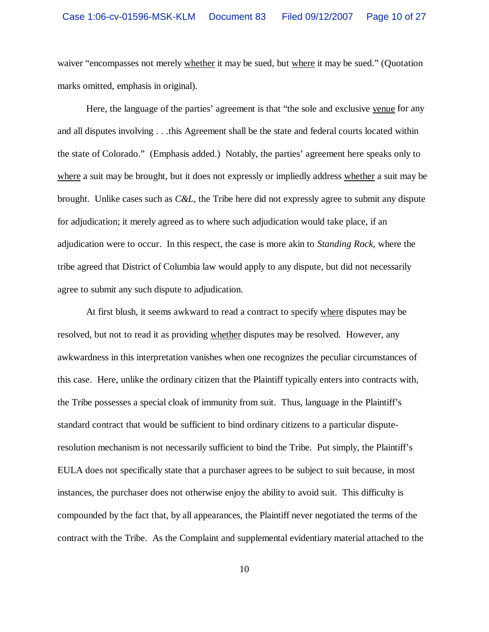waiver "encompasses not merely whether it may be sued, but where it may be sued." (Quotation marks omitted, emphasis in original).

Here, the language of the parties' agreement is that "the sole and exclusive venue for any and all disputes involving . . .this Agreement shall be the state and federal courts located within the state of Colorado." (Emphasis added.) Notably, the parties' agreement here speaks only to where a suit may be brought, but it does not expressly or impliedly address whether a suit may be brought. Unlike cases such as *C&L*, the Tribe here did not expressly agree to submit any dispute for adjudication; it merely agreed as to where such adjudication would take place, if an adjudication were to occur. In this respect, the case is more akin to *Standing Rock*, where the tribe agreed that District of Columbia law would apply to any dispute, but did not necessarily agree to submit any such dispute to adjudication.

At first blush, it seems awkward to read a contract to specify where disputes may be resolved, but not to read it as providing whether disputes may be resolved. However, any awkwardness in this interpretation vanishes when one recognizes the peculiar circumstances of this case. Here, unlike the ordinary citizen that the Plaintiff typically enters into contracts with, the Tribe possesses a special cloak of immunity from suit. Thus, language in the Plaintiff's standard contract that would be sufficient to bind ordinary citizens to a particular disputeresolution mechanism is not necessarily sufficient to bind the Tribe. Put simply, the Plaintiff's EULA does not specifically state that a purchaser agrees to be subject to suit because, in most instances, the purchaser does not otherwise enjoy the ability to avoid suit. This difficulty is compounded by the fact that, by all appearances, the Plaintiff never negotiated the terms of the contract with the Tribe. As the Complaint and supplemental evidentiary material attached to the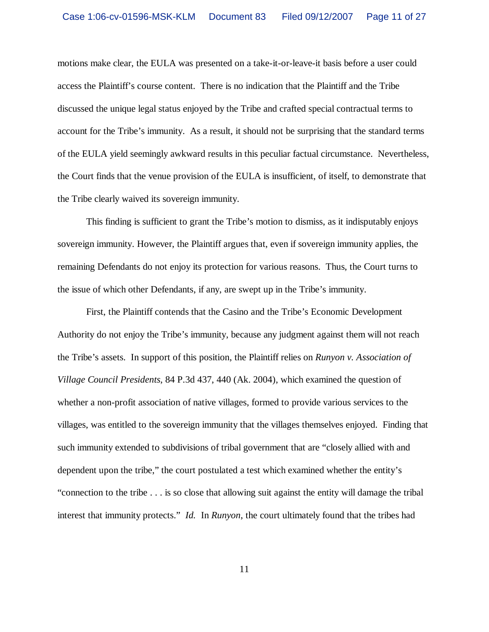motions make clear, the EULA was presented on a take-it-or-leave-it basis before a user could access the Plaintiff's course content. There is no indication that the Plaintiff and the Tribe discussed the unique legal status enjoyed by the Tribe and crafted special contractual terms to account for the Tribe's immunity. As a result, it should not be surprising that the standard terms of the EULA yield seemingly awkward results in this peculiar factual circumstance. Nevertheless, the Court finds that the venue provision of the EULA is insufficient, of itself, to demonstrate that the Tribe clearly waived its sovereign immunity.

This finding is sufficient to grant the Tribe's motion to dismiss, as it indisputably enjoys sovereign immunity. However, the Plaintiff argues that, even if sovereign immunity applies, the remaining Defendants do not enjoy its protection for various reasons. Thus, the Court turns to the issue of which other Defendants, if any, are swept up in the Tribe's immunity.

First, the Plaintiff contends that the Casino and the Tribe's Economic Development Authority do not enjoy the Tribe's immunity, because any judgment against them will not reach the Tribe's assets. In support of this position, the Plaintiff relies on *Runyon v. Association of Village Council Presidents*, 84 P.3d 437, 440 (Ak. 2004), which examined the question of whether a non-profit association of native villages, formed to provide various services to the villages, was entitled to the sovereign immunity that the villages themselves enjoyed. Finding that such immunity extended to subdivisions of tribal government that are "closely allied with and dependent upon the tribe," the court postulated a test which examined whether the entity's "connection to the tribe . . . is so close that allowing suit against the entity will damage the tribal interest that immunity protects." *Id.* In *Runyon*, the court ultimately found that the tribes had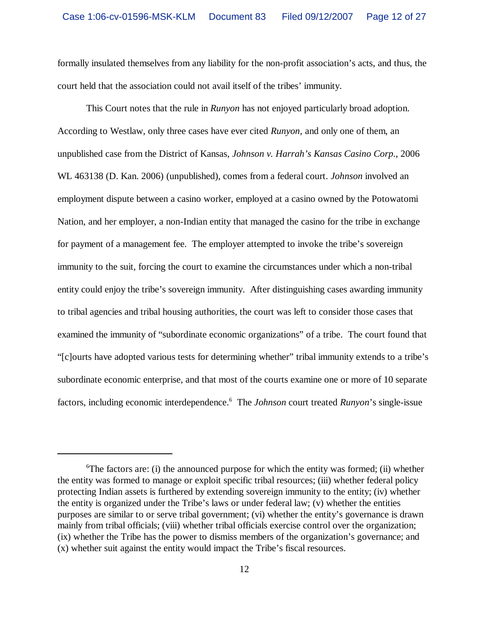formally insulated themselves from any liability for the non-profit association's acts, and thus, the court held that the association could not avail itself of the tribes' immunity.

This Court notes that the rule in *Runyon* has not enjoyed particularly broad adoption. According to Westlaw, only three cases have ever cited *Runyon,* and only one of them, an unpublished case from the District of Kansas, *Johnson v. Harrah's Kansas Casino Corp.*, 2006 WL 463138 (D. Kan. 2006) (unpublished), comes from a federal court. *Johnson* involved an employment dispute between a casino worker, employed at a casino owned by the Potowatomi Nation, and her employer, a non-Indian entity that managed the casino for the tribe in exchange for payment of a management fee. The employer attempted to invoke the tribe's sovereign immunity to the suit, forcing the court to examine the circumstances under which a non-tribal entity could enjoy the tribe's sovereign immunity. After distinguishing cases awarding immunity to tribal agencies and tribal housing authorities, the court was left to consider those cases that examined the immunity of "subordinate economic organizations" of a tribe. The court found that "[c]ourts have adopted various tests for determining whether" tribal immunity extends to a tribe's subordinate economic enterprise, and that most of the courts examine one or more of 10 separate factors, including economic interdependence.<sup>6</sup> The *Johnson* court treated *Runyon*'s single-issue

 ${}^6$ The factors are: (i) the announced purpose for which the entity was formed; (ii) whether the entity was formed to manage or exploit specific tribal resources; (iii) whether federal policy protecting Indian assets is furthered by extending sovereign immunity to the entity; (iv) whether the entity is organized under the Tribe's laws or under federal law; (v) whether the entities purposes are similar to or serve tribal government; (vi) whether the entity's governance is drawn mainly from tribal officials; (viii) whether tribal officials exercise control over the organization; (ix) whether the Tribe has the power to dismiss members of the organization's governance; and (x) whether suit against the entity would impact the Tribe's fiscal resources.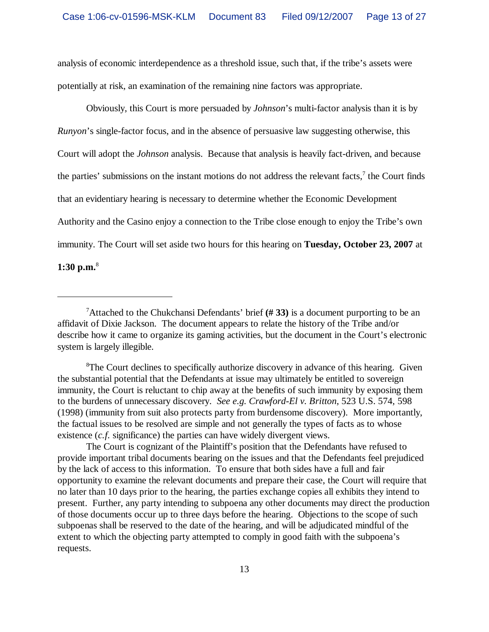analysis of economic interdependence as a threshold issue, such that, if the tribe's assets were potentially at risk, an examination of the remaining nine factors was appropriate.

Obviously, this Court is more persuaded by *Johnson*'s multi-factor analysis than it is by *Runyon*'s single-factor focus, and in the absence of persuasive law suggesting otherwise, this Court will adopt the *Johnson* analysis. Because that analysis is heavily fact-driven, and because the parties' submissions on the instant motions do not address the relevant facts,<sup>7</sup> the Court finds that an evidentiary hearing is necessary to determine whether the Economic Development Authority and the Casino enjoy a connection to the Tribe close enough to enjoy the Tribe's own immunity. The Court will set aside two hours for this hearing on **Tuesday, October 23, 2007** at **1:30 p.m.**<sup>8</sup>

<sup>8</sup>The Court declines to specifically authorize discovery in advance of this hearing. Given the substantial potential that the Defendants at issue may ultimately be entitled to sovereign immunity, the Court is reluctant to chip away at the benefits of such immunity by exposing them to the burdens of unnecessary discovery. *See e.g. Crawford-El v. Britton*, 523 U.S. 574, 598 (1998) (immunity from suit also protects party from burdensome discovery). More importantly, the factual issues to be resolved are simple and not generally the types of facts as to whose existence (*c.f.* significance) the parties can have widely divergent views.

The Court is cognizant of the Plaintiff's position that the Defendants have refused to provide important tribal documents bearing on the issues and that the Defendants feel prejudiced by the lack of access to this information. To ensure that both sides have a full and fair opportunity to examine the relevant documents and prepare their case, the Court will require that no later than 10 days prior to the hearing, the parties exchange copies all exhibits they intend to present. Further, any party intending to subpoena any other documents may direct the production of those documents occur up to three days before the hearing. Objections to the scope of such subpoenas shall be reserved to the date of the hearing, and will be adjudicated mindful of the extent to which the objecting party attempted to comply in good faith with the subpoena's requests.

<sup>7</sup>Attached to the Chukchansi Defendants' brief **(# 33)** is a document purporting to be an affidavit of Dixie Jackson. The document appears to relate the history of the Tribe and/or describe how it came to organize its gaming activities, but the document in the Court's electronic system is largely illegible.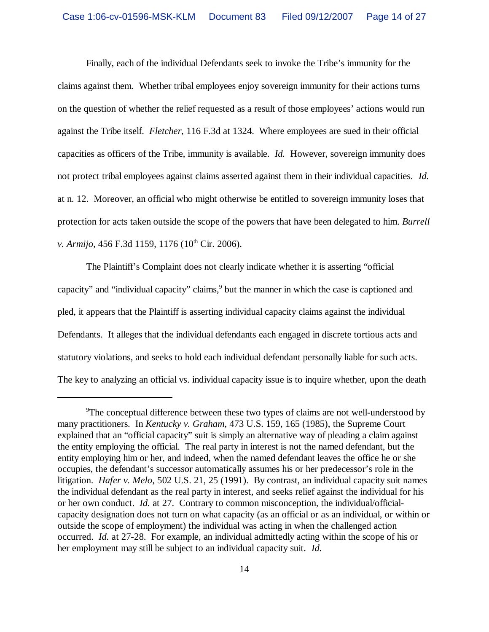Finally, each of the individual Defendants seek to invoke the Tribe's immunity for the claims against them. Whether tribal employees enjoy sovereign immunity for their actions turns on the question of whether the relief requested as a result of those employees' actions would run against the Tribe itself. *Fletcher*, 116 F.3d at 1324. Where employees are sued in their official capacities as officers of the Tribe, immunity is available. *Id.* However, sovereign immunity does not protect tribal employees against claims asserted against them in their individual capacities. *Id.* at n. 12. Moreover, an official who might otherwise be entitled to sovereign immunity loses that protection for acts taken outside the scope of the powers that have been delegated to him. *Burrell v. Armijo*, 456 F.3d 1159, 1176 (10<sup>th</sup> Cir. 2006).

The Plaintiff's Complaint does not clearly indicate whether it is asserting "official capacity" and "individual capacity" claims,<sup>9</sup> but the manner in which the case is captioned and pled, it appears that the Plaintiff is asserting individual capacity claims against the individual Defendants. It alleges that the individual defendants each engaged in discrete tortious acts and statutory violations, and seeks to hold each individual defendant personally liable for such acts. The key to analyzing an official vs. individual capacity issue is to inquire whether, upon the death

<sup>&</sup>lt;sup>9</sup>The conceptual difference between these two types of claims are not well-understood by many practitioners. In *Kentucky v. Graham*, 473 U.S. 159, 165 (1985), the Supreme Court explained that an "official capacity" suit is simply an alternative way of pleading a claim against the entity employing the official. The real party in interest is not the named defendant, but the entity employing him or her, and indeed, when the named defendant leaves the office he or she occupies, the defendant's successor automatically assumes his or her predecessor's role in the litigation. *Hafer v. Melo*, 502 U.S. 21, 25 (1991). By contrast, an individual capacity suit names the individual defendant as the real party in interest, and seeks relief against the individual for his or her own conduct. *Id.* at 27. Contrary to common misconception, the individual/officialcapacity designation does not turn on what capacity (as an official or as an individual, or within or outside the scope of employment) the individual was acting in when the challenged action occurred. *Id.* at 27-28. For example, an individual admittedly acting within the scope of his or her employment may still be subject to an individual capacity suit. *Id.*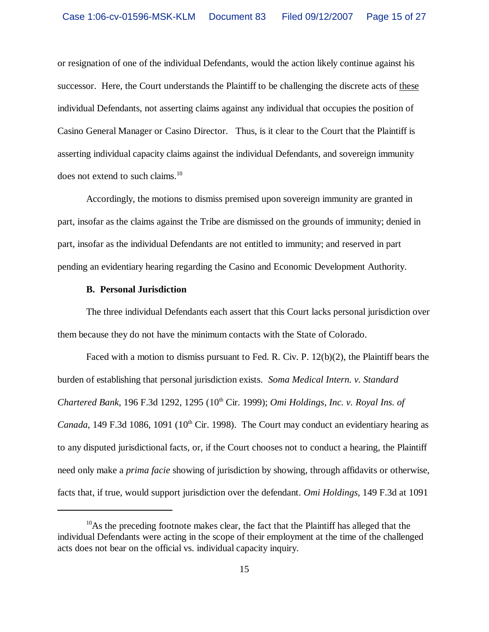or resignation of one of the individual Defendants, would the action likely continue against his successor. Here, the Court understands the Plaintiff to be challenging the discrete acts of these individual Defendants, not asserting claims against any individual that occupies the position of Casino General Manager or Casino Director. Thus, is it clear to the Court that the Plaintiff is asserting individual capacity claims against the individual Defendants, and sovereign immunity does not extend to such claims.<sup>10</sup>

Accordingly, the motions to dismiss premised upon sovereign immunity are granted in part, insofar as the claims against the Tribe are dismissed on the grounds of immunity; denied in part, insofar as the individual Defendants are not entitled to immunity; and reserved in part pending an evidentiary hearing regarding the Casino and Economic Development Authority.

# **B. Personal Jurisdiction**

The three individual Defendants each assert that this Court lacks personal jurisdiction over them because they do not have the minimum contacts with the State of Colorado.

Faced with a motion to dismiss pursuant to Fed. R. Civ. P. 12(b)(2), the Plaintiff bears the burden of establishing that personal jurisdiction exists. *Soma Medical Intern. v. Standard Chartered Bank*, 196 F.3d 1292, 1295 (10th Cir. 1999); *Omi Holdings, Inc. v. Royal Ins. of Canada*, 149 F.3d 1086, 1091 (10<sup>th</sup> Cir. 1998). The Court may conduct an evidentiary hearing as to any disputed jurisdictional facts, or, if the Court chooses not to conduct a hearing, the Plaintiff need only make a *prima facie* showing of jurisdiction by showing, through affidavits or otherwise, facts that, if true, would support jurisdiction over the defendant. *Omi Holdings*, 149 F.3d at 1091

 $10$ As the preceding footnote makes clear, the fact that the Plaintiff has alleged that the individual Defendants were acting in the scope of their employment at the time of the challenged acts does not bear on the official vs. individual capacity inquiry.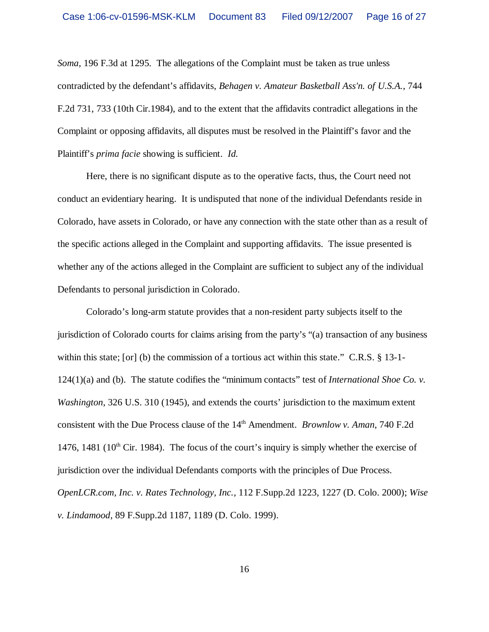*Soma*, 196 F.3d at 1295. The allegations of the Complaint must be taken as true unless contradicted by the defendant's affidavits, *Behagen v. Amateur Basketball Ass'n. of U.S.A.*, 744 F.2d 731, 733 (10th Cir.1984), and to the extent that the affidavits contradict allegations in the Complaint or opposing affidavits, all disputes must be resolved in the Plaintiff's favor and the Plaintiff's *prima facie* showing is sufficient. *Id.*

Here, there is no significant dispute as to the operative facts, thus, the Court need not conduct an evidentiary hearing. It is undisputed that none of the individual Defendants reside in Colorado, have assets in Colorado, or have any connection with the state other than as a result of the specific actions alleged in the Complaint and supporting affidavits. The issue presented is whether any of the actions alleged in the Complaint are sufficient to subject any of the individual Defendants to personal jurisdiction in Colorado.

Colorado's long-arm statute provides that a non-resident party subjects itself to the jurisdiction of Colorado courts for claims arising from the party's "(a) transaction of any business within this state; [or] (b) the commission of a tortious act within this state." C.R.S. § 13-1-124(1)(a) and (b). The statute codifies the "minimum contacts" test of *International Shoe Co. v. Washington*, 326 U.S. 310 (1945), and extends the courts' jurisdiction to the maximum extent consistent with the Due Process clause of the 14<sup>th</sup> Amendment. *Brownlow v. Aman*, 740 F.2d 1476, 1481 ( $10<sup>th</sup>$  Cir. 1984). The focus of the court's inquiry is simply whether the exercise of jurisdiction over the individual Defendants comports with the principles of Due Process. *OpenLCR.com, Inc. v. Rates Technology, Inc.*, 112 F.Supp.2d 1223, 1227 (D. Colo. 2000); *Wise v. Lindamood*, 89 F.Supp.2d 1187, 1189 (D. Colo. 1999).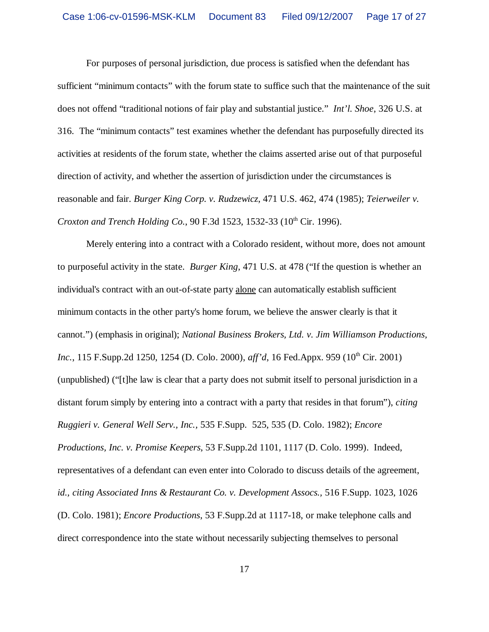For purposes of personal jurisdiction, due process is satisfied when the defendant has sufficient "minimum contacts" with the forum state to suffice such that the maintenance of the suit does not offend "traditional notions of fair play and substantial justice." *Int'l. Shoe*, 326 U.S. at 316. The "minimum contacts" test examines whether the defendant has purposefully directed its activities at residents of the forum state, whether the claims asserted arise out of that purposeful direction of activity, and whether the assertion of jurisdiction under the circumstances is reasonable and fair. *Burger King Corp. v. Rudzewicz*, 471 U.S. 462, 474 (1985); *Teierweiler v. Croxton and Trench Holding Co.*, 90 F.3d 1523, 1532-33 (10<sup>th</sup> Cir. 1996).

Merely entering into a contract with a Colorado resident, without more, does not amount to purposeful activity in the state. *Burger King*, 471 U.S. at 478 ("If the question is whether an individual's contract with an out-of-state party alone can automatically establish sufficient minimum contacts in the other party's home forum, we believe the answer clearly is that it cannot.") (emphasis in original); *National Business Brokers, Ltd. v. Jim Williamson Productions, Inc.*, 115 F.Supp.2d 1250, 1254 (D. Colo. 2000), *aff'd*, 16 Fed.Appx. 959 (10<sup>th</sup> Cir. 2001) (unpublished) ("[t]he law is clear that a party does not submit itself to personal jurisdiction in a distant forum simply by entering into a contract with a party that resides in that forum"), *citing Ruggieri v. General Well Serv., Inc.,* 535 F.Supp. 525, 535 (D. Colo. 1982); *Encore Productions, Inc. v. Promise Keepers*, 53 F.Supp.2d 1101, 1117 (D. Colo. 1999). Indeed, representatives of a defendant can even enter into Colorado to discuss details of the agreement, *id., citing Associated Inns & Restaurant Co. v. Development Assocs.,* 516 F.Supp. 1023, 1026 (D. Colo. 1981); *Encore Productions*, 53 F.Supp.2d at 1117-18, or make telephone calls and direct correspondence into the state without necessarily subjecting themselves to personal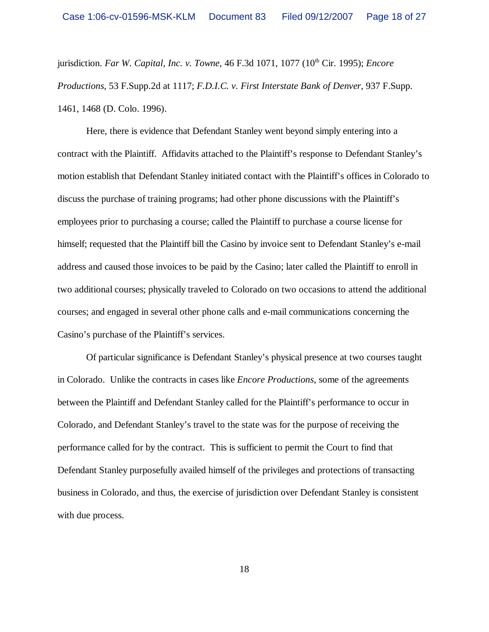jurisdiction. *Far W. Capital, Inc. v. Towne*, 46 F.3d 1071, 1077 (10<sup>th</sup> Cir. 1995); *Encore Productions*, 53 F.Supp.2d at 1117; *F.D.I.C. v. First Interstate Bank of Denver*, 937 F.Supp. 1461, 1468 (D. Colo. 1996).

Here, there is evidence that Defendant Stanley went beyond simply entering into a contract with the Plaintiff. Affidavits attached to the Plaintiff's response to Defendant Stanley's motion establish that Defendant Stanley initiated contact with the Plaintiff's offices in Colorado to discuss the purchase of training programs; had other phone discussions with the Plaintiff's employees prior to purchasing a course; called the Plaintiff to purchase a course license for himself; requested that the Plaintiff bill the Casino by invoice sent to Defendant Stanley's e-mail address and caused those invoices to be paid by the Casino; later called the Plaintiff to enroll in two additional courses; physically traveled to Colorado on two occasions to attend the additional courses; and engaged in several other phone calls and e-mail communications concerning the Casino's purchase of the Plaintiff's services.

Of particular significance is Defendant Stanley's physical presence at two courses taught in Colorado. Unlike the contracts in cases like *Encore Productions*, some of the agreements between the Plaintiff and Defendant Stanley called for the Plaintiff's performance to occur in Colorado, and Defendant Stanley's travel to the state was for the purpose of receiving the performance called for by the contract. This is sufficient to permit the Court to find that Defendant Stanley purposefully availed himself of the privileges and protections of transacting business in Colorado, and thus, the exercise of jurisdiction over Defendant Stanley is consistent with due process.

18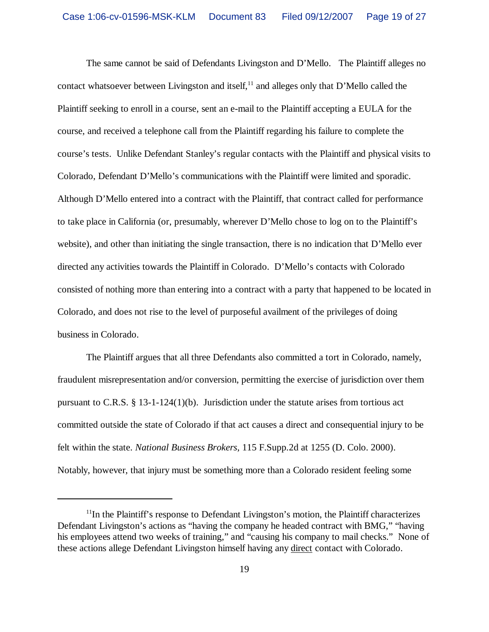The same cannot be said of Defendants Livingston and D'Mello. The Plaintiff alleges no contact whatsoever between Livingston and itself,  $^{11}$  and alleges only that D'Mello called the Plaintiff seeking to enroll in a course, sent an e-mail to the Plaintiff accepting a EULA for the course, and received a telephone call from the Plaintiff regarding his failure to complete the course's tests. Unlike Defendant Stanley's regular contacts with the Plaintiff and physical visits to Colorado, Defendant D'Mello's communications with the Plaintiff were limited and sporadic. Although D'Mello entered into a contract with the Plaintiff, that contract called for performance to take place in California (or, presumably, wherever D'Mello chose to log on to the Plaintiff's website), and other than initiating the single transaction, there is no indication that D'Mello ever directed any activities towards the Plaintiff in Colorado. D'Mello's contacts with Colorado consisted of nothing more than entering into a contract with a party that happened to be located in Colorado, and does not rise to the level of purposeful availment of the privileges of doing business in Colorado.

The Plaintiff argues that all three Defendants also committed a tort in Colorado, namely, fraudulent misrepresentation and/or conversion, permitting the exercise of jurisdiction over them pursuant to C.R.S.  $\S$  13-1-124(1)(b). Jurisdiction under the statute arises from tortious act committed outside the state of Colorado if that act causes a direct and consequential injury to be felt within the state. *National Business Brokers,* 115 F.Supp.2d at 1255 (D. Colo. 2000). Notably, however, that injury must be something more than a Colorado resident feeling some

 $<sup>11</sup>$ In the Plaintiff's response to Defendant Livingston's motion, the Plaintiff characterizes</sup> Defendant Livingston's actions as "having the company he headed contract with BMG," "having his employees attend two weeks of training," and "causing his company to mail checks." None of these actions allege Defendant Livingston himself having any direct contact with Colorado.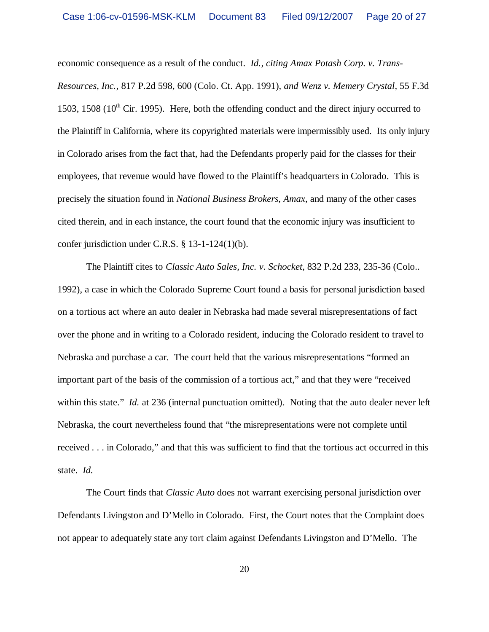economic consequence as a result of the conduct. *Id., citing Amax Potash Corp. v. Trans-Resources, Inc.*, 817 P.2d 598, 600 (Colo. Ct. App. 1991), *and Wenz v. Memery Crystal,* 55 F.3d 1503, 1508 ( $10<sup>th</sup>$  Cir. 1995). Here, both the offending conduct and the direct injury occurred to the Plaintiff in California, where its copyrighted materials were impermissibly used. Its only injury in Colorado arises from the fact that, had the Defendants properly paid for the classes for their employees, that revenue would have flowed to the Plaintiff's headquarters in Colorado. This is precisely the situation found in *National Business Brokers*, *Amax*, and many of the other cases cited therein, and in each instance, the court found that the economic injury was insufficient to confer jurisdiction under C.R.S. § 13-1-124(1)(b).

The Plaintiff cites to *Classic Auto Sales, Inc. v. Schocket*, 832 P.2d 233, 235-36 (Colo.. 1992), a case in which the Colorado Supreme Court found a basis for personal jurisdiction based on a tortious act where an auto dealer in Nebraska had made several misrepresentations of fact over the phone and in writing to a Colorado resident, inducing the Colorado resident to travel to Nebraska and purchase a car. The court held that the various misrepresentations "formed an important part of the basis of the commission of a tortious act," and that they were "received within this state." *Id.* at 236 (internal punctuation omitted). Noting that the auto dealer never left Nebraska, the court nevertheless found that "the misrepresentations were not complete until received . . . in Colorado," and that this was sufficient to find that the tortious act occurred in this state. *Id.*

The Court finds that *Classic Auto* does not warrant exercising personal jurisdiction over Defendants Livingston and D'Mello in Colorado. First, the Court notes that the Complaint does not appear to adequately state any tort claim against Defendants Livingston and D'Mello. The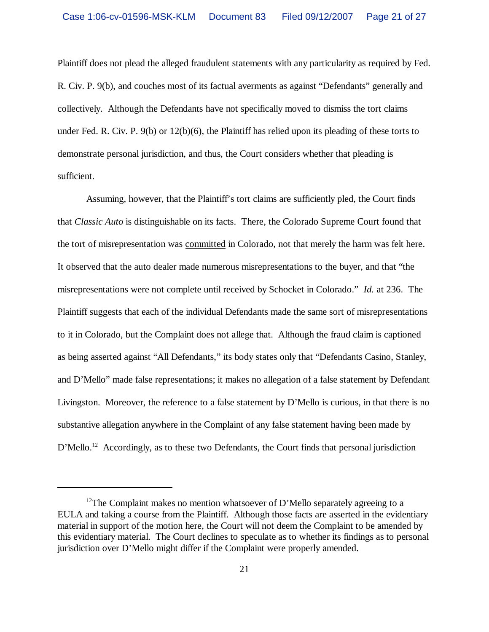Plaintiff does not plead the alleged fraudulent statements with any particularity as required by Fed. R. Civ. P. 9(b), and couches most of its factual averments as against "Defendants" generally and collectively. Although the Defendants have not specifically moved to dismiss the tort claims under Fed. R. Civ. P. 9(b) or 12(b)(6), the Plaintiff has relied upon its pleading of these torts to demonstrate personal jurisdiction, and thus, the Court considers whether that pleading is sufficient.

Assuming, however, that the Plaintiff's tort claims are sufficiently pled, the Court finds that *Classic Auto* is distinguishable on its facts. There, the Colorado Supreme Court found that the tort of misrepresentation was committed in Colorado, not that merely the harm was felt here. It observed that the auto dealer made numerous misrepresentations to the buyer, and that "the misrepresentations were not complete until received by Schocket in Colorado." *Id.* at 236. The Plaintiff suggests that each of the individual Defendants made the same sort of misrepresentations to it in Colorado, but the Complaint does not allege that. Although the fraud claim is captioned as being asserted against "All Defendants," its body states only that "Defendants Casino, Stanley, and D'Mello" made false representations; it makes no allegation of a false statement by Defendant Livingston. Moreover, the reference to a false statement by D'Mello is curious, in that there is no substantive allegation anywhere in the Complaint of any false statement having been made by D'Mello.<sup>12</sup> Accordingly, as to these two Defendants, the Court finds that personal jurisdiction

<sup>&</sup>lt;sup>12</sup>The Complaint makes no mention whatsoever of D'Mello separately agreeing to a EULA and taking a course from the Plaintiff. Although those facts are asserted in the evidentiary material in support of the motion here, the Court will not deem the Complaint to be amended by this evidentiary material. The Court declines to speculate as to whether its findings as to personal jurisdiction over D'Mello might differ if the Complaint were properly amended.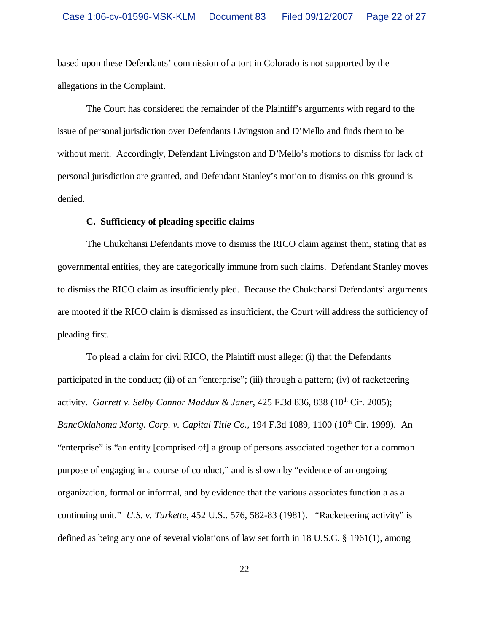based upon these Defendants' commission of a tort in Colorado is not supported by the allegations in the Complaint.

The Court has considered the remainder of the Plaintiff's arguments with regard to the issue of personal jurisdiction over Defendants Livingston and D'Mello and finds them to be without merit. Accordingly, Defendant Livingston and D'Mello's motions to dismiss for lack of personal jurisdiction are granted, and Defendant Stanley's motion to dismiss on this ground is denied.

## **C. Sufficiency of pleading specific claims**

The Chukchansi Defendants move to dismiss the RICO claim against them, stating that as governmental entities, they are categorically immune from such claims. Defendant Stanley moves to dismiss the RICO claim as insufficiently pled. Because the Chukchansi Defendants' arguments are mooted if the RICO claim is dismissed as insufficient, the Court will address the sufficiency of pleading first.

To plead a claim for civil RICO, the Plaintiff must allege: (i) that the Defendants participated in the conduct; (ii) of an "enterprise"; (iii) through a pattern; (iv) of racketeering activity. *Garrett v. Selby Connor Maddux & Janer*, 425 F.3d 836, 838 (10<sup>th</sup> Cir. 2005); BancOklahoma Mortg. Corp. v. Capital Title Co., 194 F.3d 1089, 1100 (10<sup>th</sup> Cir. 1999). An "enterprise" is "an entity [comprised of] a group of persons associated together for a common purpose of engaging in a course of conduct," and is shown by "evidence of an ongoing organization, formal or informal, and by evidence that the various associates function a as a continuing unit." *U.S. v. Turkette,* 452 U.S.. 576, 582-83 (1981). "Racketeering activity" is defined as being any one of several violations of law set forth in 18 U.S.C. § 1961(1), among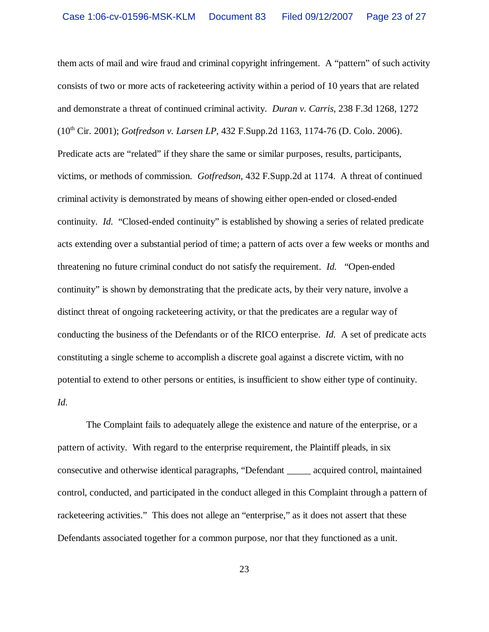them acts of mail and wire fraud and criminal copyright infringement. A "pattern" of such activity consists of two or more acts of racketeering activity within a period of 10 years that are related and demonstrate a threat of continued criminal activity. *Duran v. Carris*, 238 F.3d 1268, 1272 (10th Cir. 2001); *Gotfredson v. Larsen LP*, 432 F.Supp.2d 1163, 1174-76 (D. Colo. 2006). Predicate acts are "related" if they share the same or similar purposes, results, participants, victims, or methods of commission. *Gotfredson,* 432 F.Supp.2d at 1174. A threat of continued criminal activity is demonstrated by means of showing either open-ended or closed-ended continuity. *Id.* "Closed-ended continuity" is established by showing a series of related predicate acts extending over a substantial period of time; a pattern of acts over a few weeks or months and threatening no future criminal conduct do not satisfy the requirement. *Id.* "Open-ended continuity" is shown by demonstrating that the predicate acts, by their very nature, involve a distinct threat of ongoing racketeering activity, or that the predicates are a regular way of conducting the business of the Defendants or of the RICO enterprise. *Id.* A set of predicate acts constituting a single scheme to accomplish a discrete goal against a discrete victim, with no potential to extend to other persons or entities, is insufficient to show either type of continuity. *Id.*

The Complaint fails to adequately allege the existence and nature of the enterprise, or a pattern of activity. With regard to the enterprise requirement, the Plaintiff pleads, in six consecutive and otherwise identical paragraphs, "Defendant \_\_\_\_\_ acquired control, maintained control, conducted, and participated in the conduct alleged in this Complaint through a pattern of racketeering activities." This does not allege an "enterprise," as it does not assert that these Defendants associated together for a common purpose, nor that they functioned as a unit.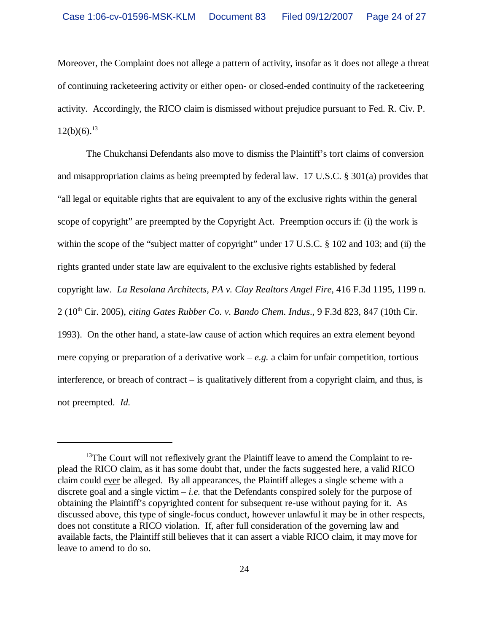Moreover, the Complaint does not allege a pattern of activity, insofar as it does not allege a threat of continuing racketeering activity or either open- or closed-ended continuity of the racketeering activity. Accordingly, the RICO claim is dismissed without prejudice pursuant to Fed. R. Civ. P.  $12(b)(6).^{13}$ 

The Chukchansi Defendants also move to dismiss the Plaintiff's tort claims of conversion and misappropriation claims as being preempted by federal law. 17 U.S.C. § 301(a) provides that "all legal or equitable rights that are equivalent to any of the exclusive rights within the general scope of copyright" are preempted by the Copyright Act. Preemption occurs if: (i) the work is within the scope of the "subject matter of copyright" under 17 U.S.C. § 102 and 103; and (ii) the rights granted under state law are equivalent to the exclusive rights established by federal copyright law. *La Resolana Architects, PA v. Clay Realtors Angel Fire*, 416 F.3d 1195, 1199 n. 2 (10th Cir. 2005), *citing Gates Rubber Co. v. Bando Chem. Indus*., 9 F.3d 823, 847 (10th Cir. 1993). On the other hand, a state-law cause of action which requires an extra element beyond mere copying or preparation of a derivative work  $-e.g.$  a claim for unfair competition, tortious interference, or breach of contract – is qualitatively different from a copyright claim, and thus, is not preempted. *Id.*

<sup>&</sup>lt;sup>13</sup>The Court will not reflexively grant the Plaintiff leave to amend the Complaint to replead the RICO claim, as it has some doubt that, under the facts suggested here, a valid RICO claim could ever be alleged. By all appearances, the Plaintiff alleges a single scheme with a discrete goal and a single victim  $-i.e.$  that the Defendants conspired solely for the purpose of obtaining the Plaintiff's copyrighted content for subsequent re-use without paying for it. As discussed above, this type of single-focus conduct, however unlawful it may be in other respects, does not constitute a RICO violation. If, after full consideration of the governing law and available facts, the Plaintiff still believes that it can assert a viable RICO claim, it may move for leave to amend to do so.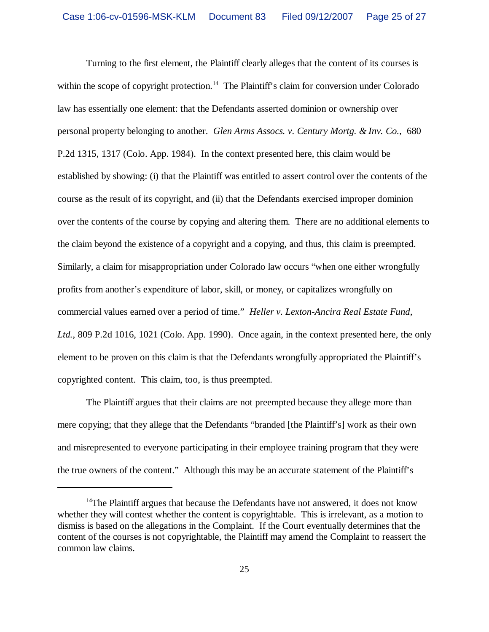Turning to the first element, the Plaintiff clearly alleges that the content of its courses is within the scope of copyright protection.<sup>14</sup> The Plaintiff's claim for conversion under Colorado law has essentially one element: that the Defendants asserted dominion or ownership over personal property belonging to another. *Glen Arms Assocs. v. Century Mortg. & Inv. Co.*, 680 P.2d 1315, 1317 (Colo. App. 1984). In the context presented here, this claim would be established by showing: (i) that the Plaintiff was entitled to assert control over the contents of the course as the result of its copyright, and (ii) that the Defendants exercised improper dominion over the contents of the course by copying and altering them. There are no additional elements to the claim beyond the existence of a copyright and a copying, and thus, this claim is preempted. Similarly, a claim for misappropriation under Colorado law occurs "when one either wrongfully profits from another's expenditure of labor, skill, or money, or capitalizes wrongfully on commercial values earned over a period of time." *Heller v. Lexton-Ancira Real Estate Fund, Ltd.*, 809 P.2d 1016, 1021 (Colo. App. 1990). Once again, in the context presented here, the only element to be proven on this claim is that the Defendants wrongfully appropriated the Plaintiff's copyrighted content. This claim, too, is thus preempted.

The Plaintiff argues that their claims are not preempted because they allege more than mere copying; that they allege that the Defendants "branded [the Plaintiff's] work as their own and misrepresented to everyone participating in their employee training program that they were the true owners of the content." Although this may be an accurate statement of the Plaintiff's

 $14$ The Plaintiff argues that because the Defendants have not answered, it does not know whether they will contest whether the content is copyrightable. This is irrelevant, as a motion to dismiss is based on the allegations in the Complaint. If the Court eventually determines that the content of the courses is not copyrightable, the Plaintiff may amend the Complaint to reassert the common law claims.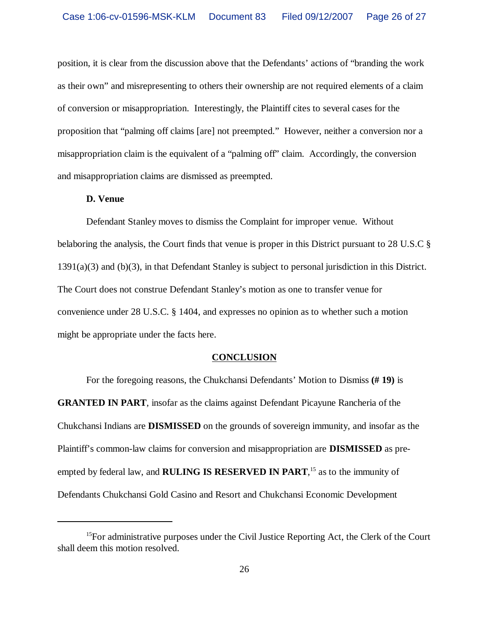position, it is clear from the discussion above that the Defendants' actions of "branding the work as their own" and misrepresenting to others their ownership are not required elements of a claim of conversion or misappropriation. Interestingly, the Plaintiff cites to several cases for the proposition that "palming off claims [are] not preempted." However, neither a conversion nor a misappropriation claim is the equivalent of a "palming off" claim. Accordingly, the conversion and misappropriation claims are dismissed as preempted.

## **D. Venue**

Defendant Stanley moves to dismiss the Complaint for improper venue. Without belaboring the analysis, the Court finds that venue is proper in this District pursuant to 28 U.S.C § 1391(a)(3) and (b)(3), in that Defendant Stanley is subject to personal jurisdiction in this District. The Court does not construe Defendant Stanley's motion as one to transfer venue for convenience under 28 U.S.C. § 1404, and expresses no opinion as to whether such a motion might be appropriate under the facts here.

#### **CONCLUSION**

For the foregoing reasons, the Chukchansi Defendants' Motion to Dismiss **(# 19)** is **GRANTED IN PART**, insofar as the claims against Defendant Picayune Rancheria of the Chukchansi Indians are **DISMISSED** on the grounds of sovereign immunity, and insofar as the Plaintiff's common-law claims for conversion and misappropriation are **DISMISSED** as preempted by federal law, and **RULING IS RESERVED IN PART**, <sup>15</sup> as to the immunity of Defendants Chukchansi Gold Casino and Resort and Chukchansi Economic Development

 $15$ For administrative purposes under the Civil Justice Reporting Act, the Clerk of the Court shall deem this motion resolved.